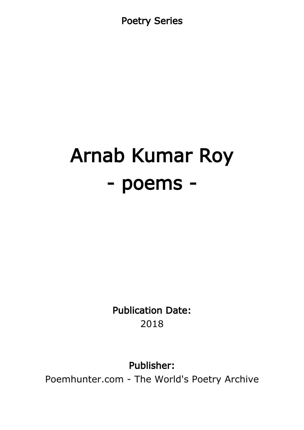Poetry Series

# Arnab Kumar Roy - poems -

Publication Date: 2018

Publisher:

Poemhunter.com - The World's Poetry Archive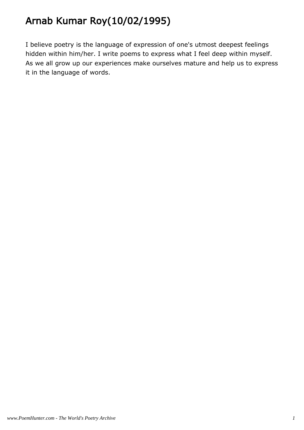# Arnab Kumar Roy(10/02/1995)

I believe poetry is the language of expression of one's utmost deepest feelings hidden within him/her. I write poems to express what I feel deep within myself. As we all grow up our experiences make ourselves mature and help us to express it in the language of words.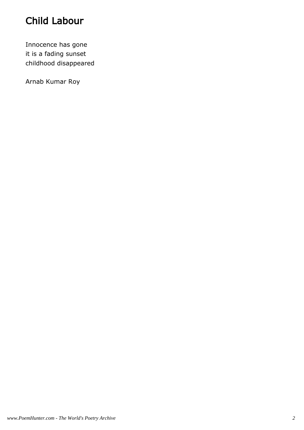# Child Labour

Innocence has gone it is a fading sunset childhood disappeared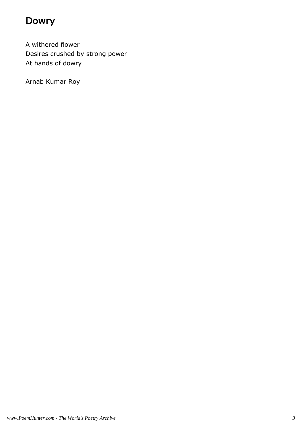#### Dowry

A withered flower Desires crushed by strong power At hands of dowry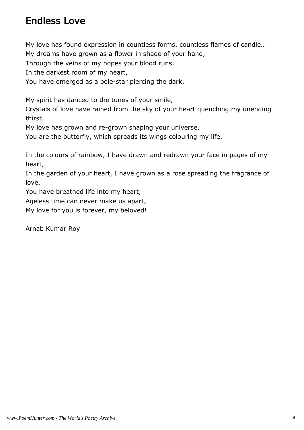#### Endless Love

My love has found expression in countless forms, countless flames of candle…

My dreams have grown as a flower in shade of your hand,

Through the veins of my hopes your blood runs.

In the darkest room of my heart,

You have emerged as a pole-star piercing the dark.

My spirit has danced to the tunes of your smile,

Crystals of love have rained from the sky of your heart quenching my unending thirst.

My love has grown and re-grown shaping your universe,

You are the butterfly, which spreads its wings colouring my life.

In the colours of rainbow, I have drawn and redrawn your face in pages of my heart,

In the garden of your heart, I have grown as a rose spreading the fragrance of love.

You have breathed life into my heart,

Ageless time can never make us apart,

My love for you is forever, my beloved!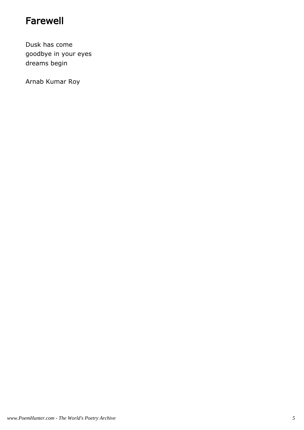#### Farewell

Dusk has come goodbye in your eyes dreams begin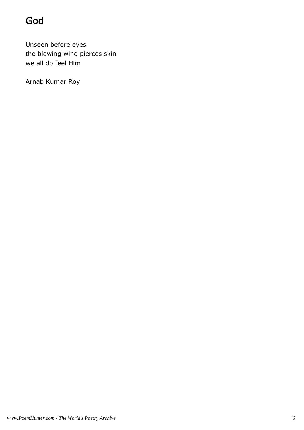# God

Unseen before eyes the blowing wind pierces skin we all do feel Him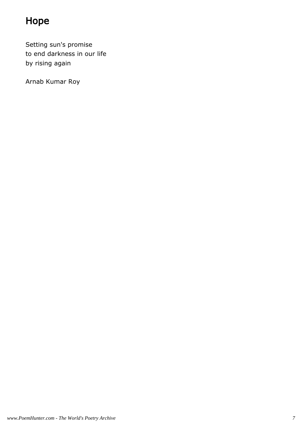# Hope

Setting sun's promise to end darkness in our life by rising again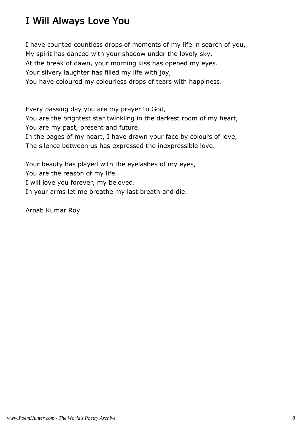# I Will Always Love You

I have counted countless drops of moments of my life in search of you, My spirit has danced with your shadow under the lovely sky, At the break of dawn, your morning kiss has opened my eyes. Your silvery laughter has filled my life with joy, You have coloured my colourless drops of tears with happiness.

Every passing day you are my prayer to God,

You are the brightest star twinkling in the darkest room of my heart, You are my past, present and future.

In the pages of my heart, I have drawn your face by colours of love, The silence between us has expressed the inexpressible love.

Your beauty has played with the eyelashes of my eyes,

You are the reason of my life.

I will love you forever, my beloved.

In your arms let me breathe my last breath and die.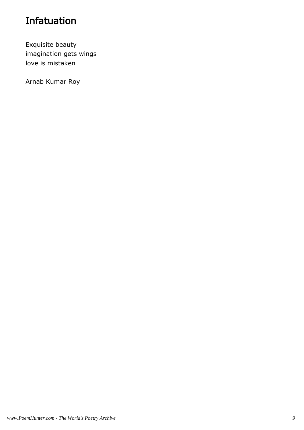# Infatuation

Exquisite beauty imagination gets wings love is mistaken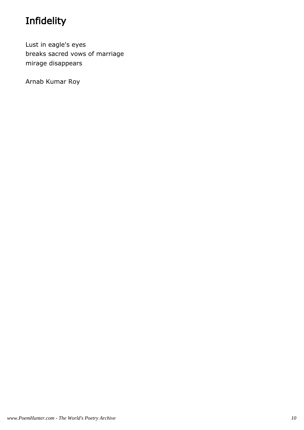# Infidelity

Lust in eagle's eyes breaks sacred vows of marriage mirage disappears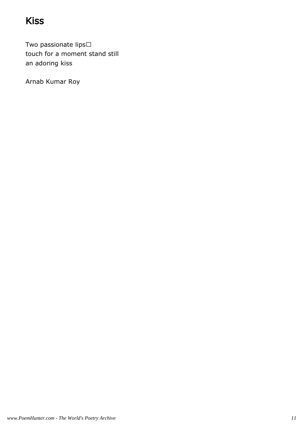# Kiss

Two passionate lips touch for a moment stand still an adoring kiss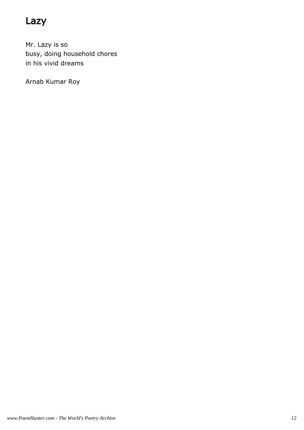# Lazy

Mr. Lazy is so busy, doing household chores in his vivid dreams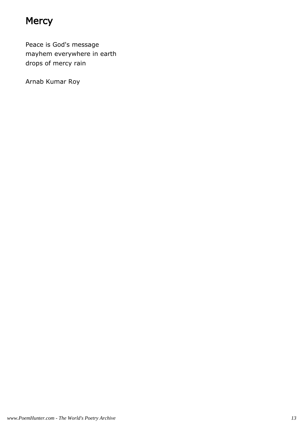### **Mercy**

Peace is God's message mayhem everywhere in earth drops of mercy rain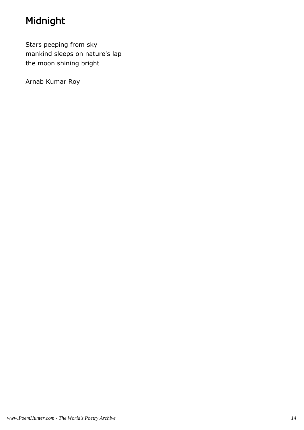# Midnight

Stars peeping from sky mankind sleeps on nature's lap the moon shining bright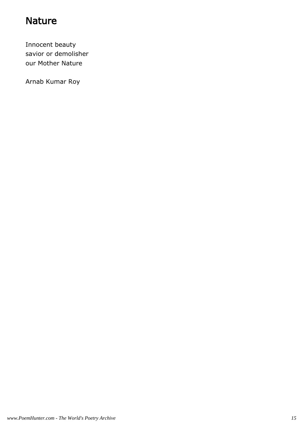#### **Nature**

Innocent beauty savior or demolisher our Mother Nature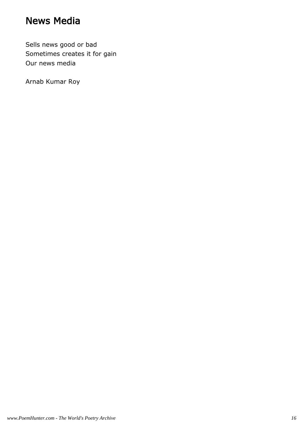#### News Media

Sells news good or bad Sometimes creates it for gain Our news media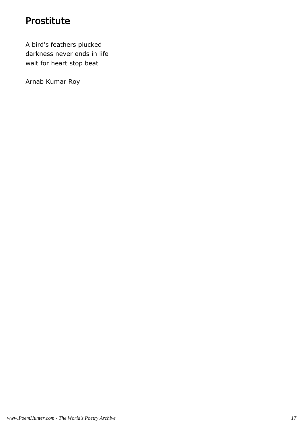#### Prostitute

A bird's feathers plucked darkness never ends in life wait for heart stop beat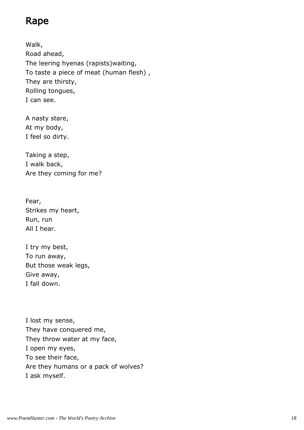#### Rape

Walk, Road ahead, The leering hyenas (rapists)waiting, To taste a piece of meat (human flesh) , They are thirsty, Rolling tongues, I can see.

A nasty stare, At my body, I feel so dirty.

Taking a step, I walk back, Are they coming for me?

Fear, Strikes my heart, Run, run All I hear.

I try my best, To run away, But those weak legs, Give away, I fall down.

I lost my sense, They have conquered me, They throw water at my face, I open my eyes, To see their face, Are they humans or a pack of wolves? I ask myself.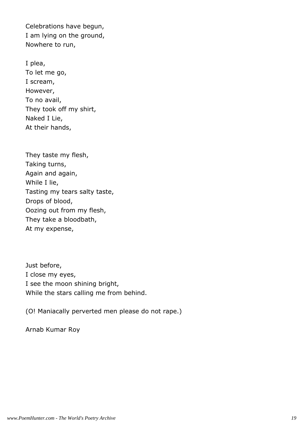Celebrations have begun, I am lying on the ground, Nowhere to run,

I plea, To let me go, I scream, However, To no avail, They took off my shirt, Naked I Lie, At their hands,

They taste my flesh, Taking turns, Again and again, While I lie, Tasting my tears salty taste, Drops of blood, Oozing out from my flesh, They take a bloodbath, At my expense,

Just before, I close my eyes, I see the moon shining bright, While the stars calling me from behind.

(O! Maniacally perverted men please do not rape.)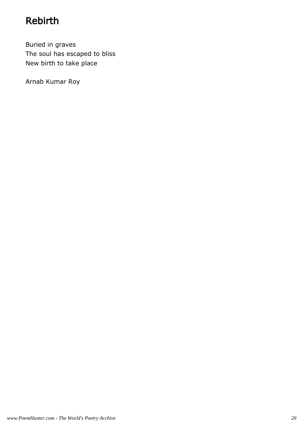# Rebirth

Buried in graves The soul has escaped to bliss New birth to take place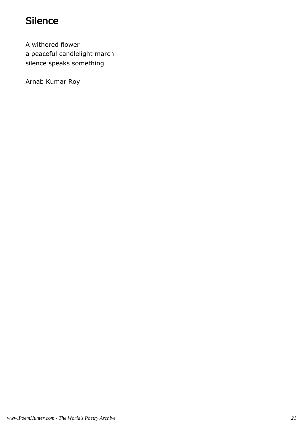### Silence

A withered flower a peaceful candlelight march silence speaks something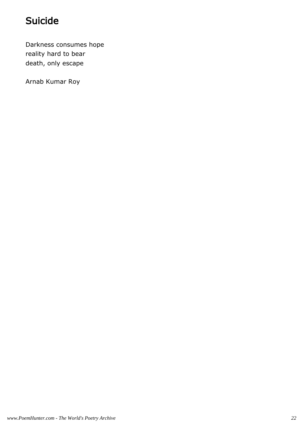# Suicide

Darkness consumes hope reality hard to bear death, only escape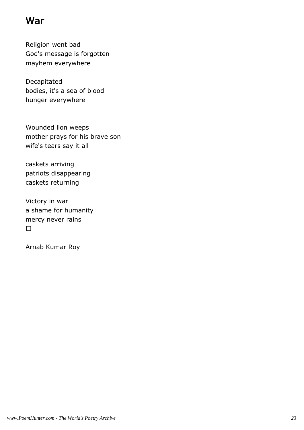#### War

Religion went bad God's message is forgotten mayhem everywhere

Decapitated bodies, it's a sea of blood hunger everywhere

Wounded lion weeps mother prays for his brave son wife's tears say it all

caskets arriving patriots disappearing caskets returning

Victory in war a shame for humanity mercy never rains